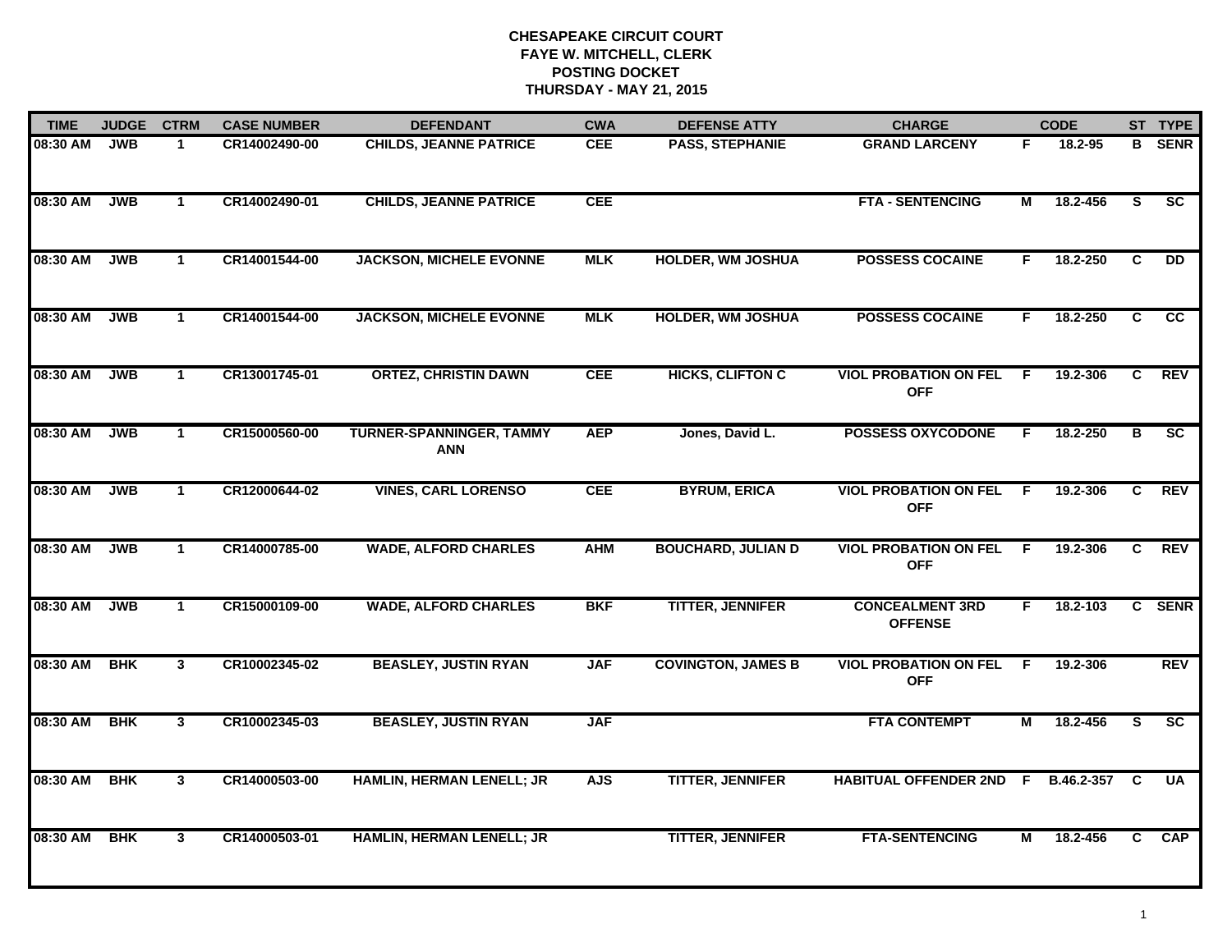| <b>TIME</b> | <b>JUDGE</b> | <b>CTRM</b>    | <b>CASE NUMBER</b> | <b>DEFENDANT</b>                              | <b>CWA</b> | <b>DEFENSE ATTY</b>       | <b>CHARGE</b>                              |     | <b>CODE</b> | ST TYPE                 |             |
|-------------|--------------|----------------|--------------------|-----------------------------------------------|------------|---------------------------|--------------------------------------------|-----|-------------|-------------------------|-------------|
| 08:30 AM    | <b>JWB</b>   | 1              | CR14002490-00      | <b>CHILDS, JEANNE PATRICE</b>                 | <b>CEE</b> | <b>PASS, STEPHANIE</b>    | <b>GRAND LARCENY</b>                       | F   | 18.2-95     | в                       | <b>SENR</b> |
| 08:30 AM    | <b>JWB</b>   | $\mathbf{1}$   | CR14002490-01      | <b>CHILDS, JEANNE PATRICE</b>                 | CEE        |                           | <b>FTA - SENTENCING</b>                    | М   | 18.2-456    | S                       | SC          |
| 08:30 AM    | <b>JWB</b>   | $\mathbf 1$    | CR14001544-00      | <b>JACKSON, MICHELE EVONNE</b>                | <b>MLK</b> | <b>HOLDER, WM JOSHUA</b>  | <b>POSSESS COCAINE</b>                     | F.  | 18.2-250    | C                       | <b>DD</b>   |
| 08:30 AM    | <b>JWB</b>   | $\mathbf{1}$   | CR14001544-00      | <b>JACKSON, MICHELE EVONNE</b>                | <b>MLK</b> | <b>HOLDER, WM JOSHUA</b>  | <b>POSSESS COCAINE</b>                     | F.  | 18.2-250    | C                       | <b>CC</b>   |
| 08:30 AM    | <b>JWB</b>   | $\mathbf{1}$   | CR13001745-01      | <b>ORTEZ, CHRISTIN DAWN</b>                   | CEE        | <b>HICKS, CLIFTON C</b>   | <b>VIOL PROBATION ON FEL</b><br><b>OFF</b> | - F | 19.2-306    | C                       | <b>REV</b>  |
| 08:30 AM    | <b>JWB</b>   | $\mathbf{1}$   | CR15000560-00      | <b>TURNER-SPANNINGER, TAMMY</b><br><b>ANN</b> | <b>AEP</b> | Jones, David L.           | <b>POSSESS OXYCODONE</b>                   | F.  | 18.2-250    | В                       | <b>SC</b>   |
| 08:30 AM    | <b>JWB</b>   | $\mathbf{1}$   | CR12000644-02      | <b>VINES, CARL LORENSO</b>                    | <b>CEE</b> | <b>BYRUM, ERICA</b>       | <b>VIOL PROBATION ON FEL</b><br><b>OFF</b> | F.  | 19.2-306    | C                       | <b>REV</b>  |
| 08:30 AM    | <b>JWB</b>   | $\mathbf 1$    | CR14000785-00      | <b>WADE, ALFORD CHARLES</b>                   | <b>AHM</b> | <b>BOUCHARD, JULIAN D</b> | <b>VIOL PROBATION ON FEL</b><br><b>OFF</b> | F.  | 19.2-306    | C                       | REV         |
| 08:30 AM    | <b>JWB</b>   | $\mathbf{1}$   | CR15000109-00      | <b>WADE, ALFORD CHARLES</b>                   | <b>BKF</b> | <b>TITTER, JENNIFER</b>   | <b>CONCEALMENT 3RD</b><br><b>OFFENSE</b>   | F.  | 18.2-103    |                         | C SENR      |
| 08:30 AM    | <b>BHK</b>   | $\mathbf{3}$   | CR10002345-02      | <b>BEASLEY, JUSTIN RYAN</b>                   | <b>JAF</b> | <b>COVINGTON, JAMES B</b> | <b>VIOL PROBATION ON FEL</b><br><b>OFF</b> | E   | 19.2-306    |                         | <b>REV</b>  |
| 08:30 AM    | <b>BHK</b>   | $\mathbf{3}$   | CR10002345-03      | <b>BEASLEY, JUSTIN RYAN</b>                   | <b>JAF</b> |                           | <b>FTA CONTEMPT</b>                        | М   | 18.2-456    | S.                      | SC          |
| 08:30 AM    | <b>BHK</b>   | $\overline{3}$ | CR14000503-00      | HAMLIN, HERMAN LENELL; JR                     | <b>AJS</b> | <b>TITTER, JENNIFER</b>   | <b>HABITUAL OFFENDER 2ND</b>               | - F | B.46.2-357  | $\overline{\mathbf{c}}$ | <b>UA</b>   |
| 08:30 AM    | <b>BHK</b>   | 3 <sup>1</sup> | CR14000503-01      | HAMLIN, HERMAN LENELL; JR                     |            | <b>TITTER, JENNIFER</b>   | <b>FTA-SENTENCING</b>                      | М   | 18.2-456    | C.                      | CAP         |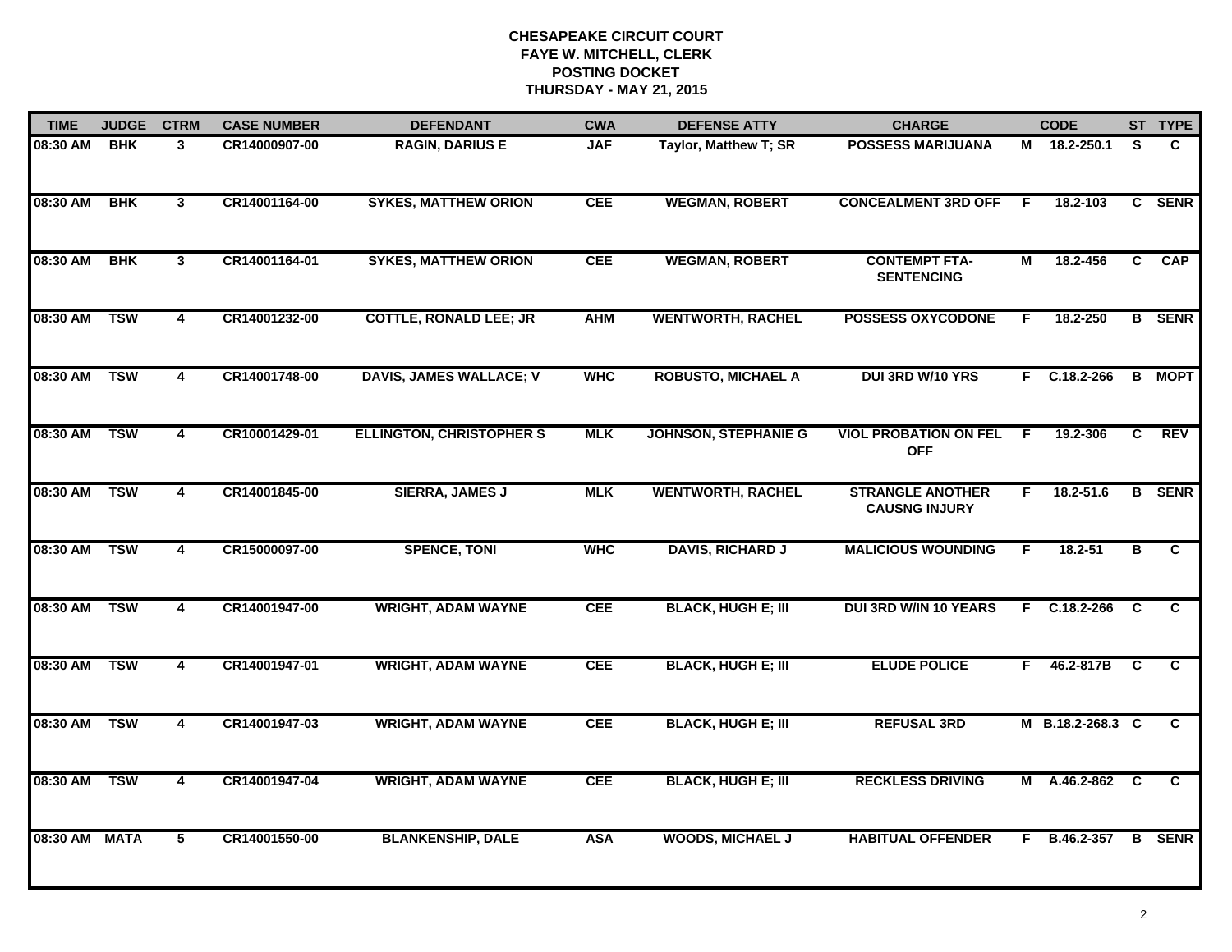| <b>TIME</b>   | <b>JUDGE</b> | <b>CTRM</b>             | <b>CASE NUMBER</b> | <b>DEFENDANT</b>                | <b>CWA</b> | <b>DEFENSE ATTY</b>         | <b>CHARGE</b>                                   |    | <b>CODE</b>      |                | ST TYPE       |
|---------------|--------------|-------------------------|--------------------|---------------------------------|------------|-----------------------------|-------------------------------------------------|----|------------------|----------------|---------------|
| 08:30 AM      | <b>BHK</b>   | 3                       | CR14000907-00      | <b>RAGIN, DARIUS E</b>          | <b>JAF</b> | Taylor, Matthew T; SR       | <b>POSSESS MARIJUANA</b>                        |    | M 18.2-250.1     | S.             | C.            |
| 08:30 AM      | <b>BHK</b>   | $\mathbf{3}$            | CR14001164-00      | <b>SYKES, MATTHEW ORION</b>     | <b>CEE</b> | <b>WEGMAN, ROBERT</b>       | <b>CONCEALMENT 3RD OFF</b>                      | F  | 18.2-103         |                | C SENR        |
| 08:30 AM      | <b>BHK</b>   | $\mathbf{3}$            | CR14001164-01      | <b>SYKES, MATTHEW ORION</b>     | <b>CEE</b> | <b>WEGMAN, ROBERT</b>       | <b>CONTEMPT FTA-</b><br><b>SENTENCING</b>       | М  | 18.2-456         | C              | <b>CAP</b>    |
| 08:30 AM      | <b>TSW</b>   | 4                       | CR14001232-00      | <b>COTTLE, RONALD LEE; JR</b>   | <b>AHM</b> | <b>WENTWORTH, RACHEL</b>    | <b>POSSESS OXYCODONE</b>                        | F  | 18.2-250         |                | <b>B</b> SENR |
| 08:30 AM      | <b>TSW</b>   | 4                       | CR14001748-00      | <b>DAVIS, JAMES WALLACE; V</b>  | <b>WHC</b> | <b>ROBUSTO, MICHAEL A</b>   | DUI 3RD W/10 YRS                                |    | $F$ C.18.2-266   |                | <b>B</b> MOPT |
| 08:30 AM TSW  |              | 4                       | CR10001429-01      | <b>ELLINGTON, CHRISTOPHER S</b> | <b>MLK</b> | <b>JOHNSON, STEPHANIE G</b> | <b>VIOL PROBATION ON FEL</b><br><b>OFF</b>      | -F | 19.2-306         | C.             | <b>REV</b>    |
| 08:30 AM      | <b>TSW</b>   | $\overline{4}$          | CR14001845-00      | <b>SIERRA, JAMES J</b>          | <b>MLK</b> | <b>WENTWORTH, RACHEL</b>    | <b>STRANGLE ANOTHER</b><br><b>CAUSNG INJURY</b> | F. | 18.2-51.6        | $\overline{B}$ | <b>SENR</b>   |
| 08:30 AM      | <b>TSW</b>   | $\overline{\mathbf{4}}$ | CR15000097-00      | <b>SPENCE, TONI</b>             | <b>WHC</b> | <b>DAVIS, RICHARD J</b>     | <b>MALICIOUS WOUNDING</b>                       | F  | $18.2 - 51$      | в              | C             |
| 08:30 AM      | <b>TSW</b>   | 4                       | CR14001947-00      | <b>WRIGHT, ADAM WAYNE</b>       | <b>CEE</b> | <b>BLACK, HUGH E; III</b>   | <b>DUI 3RD W/IN 10 YEARS</b>                    | F. | $C.18.2 - 266$   | C              | C.            |
| 08:30 AM      | <b>TSW</b>   | $\overline{\mathbf{4}}$ | CR14001947-01      | <b>WRIGHT, ADAM WAYNE</b>       | <b>CEE</b> | <b>BLACK, HUGH E; III</b>   | <b>ELUDE POLICE</b>                             | F. | 46.2-817B        | C              | C             |
| 08:30 AM      | <b>TSW</b>   | 4                       | CR14001947-03      | <b>WRIGHT, ADAM WAYNE</b>       | <b>CEE</b> | <b>BLACK, HUGH E; III</b>   | <b>REFUSAL 3RD</b>                              |    | M B.18.2-268.3 C |                | C             |
| 08:30 AM      | <b>TSW</b>   | $\overline{4}$          | CR14001947-04      | <b>WRIGHT, ADAM WAYNE</b>       | <b>CEE</b> | <b>BLACK, HUGH E; III</b>   | <b>RECKLESS DRIVING</b>                         | М  | A.46.2-862 C     |                | C.            |
| 08:30 AM MATA |              | 5                       | CR14001550-00      | <b>BLANKENSHIP, DALE</b>        | <b>ASA</b> | <b>WOODS, MICHAEL J</b>     | <b>HABITUAL OFFENDER</b>                        | F. | B.46.2-357       |                | <b>B</b> SENR |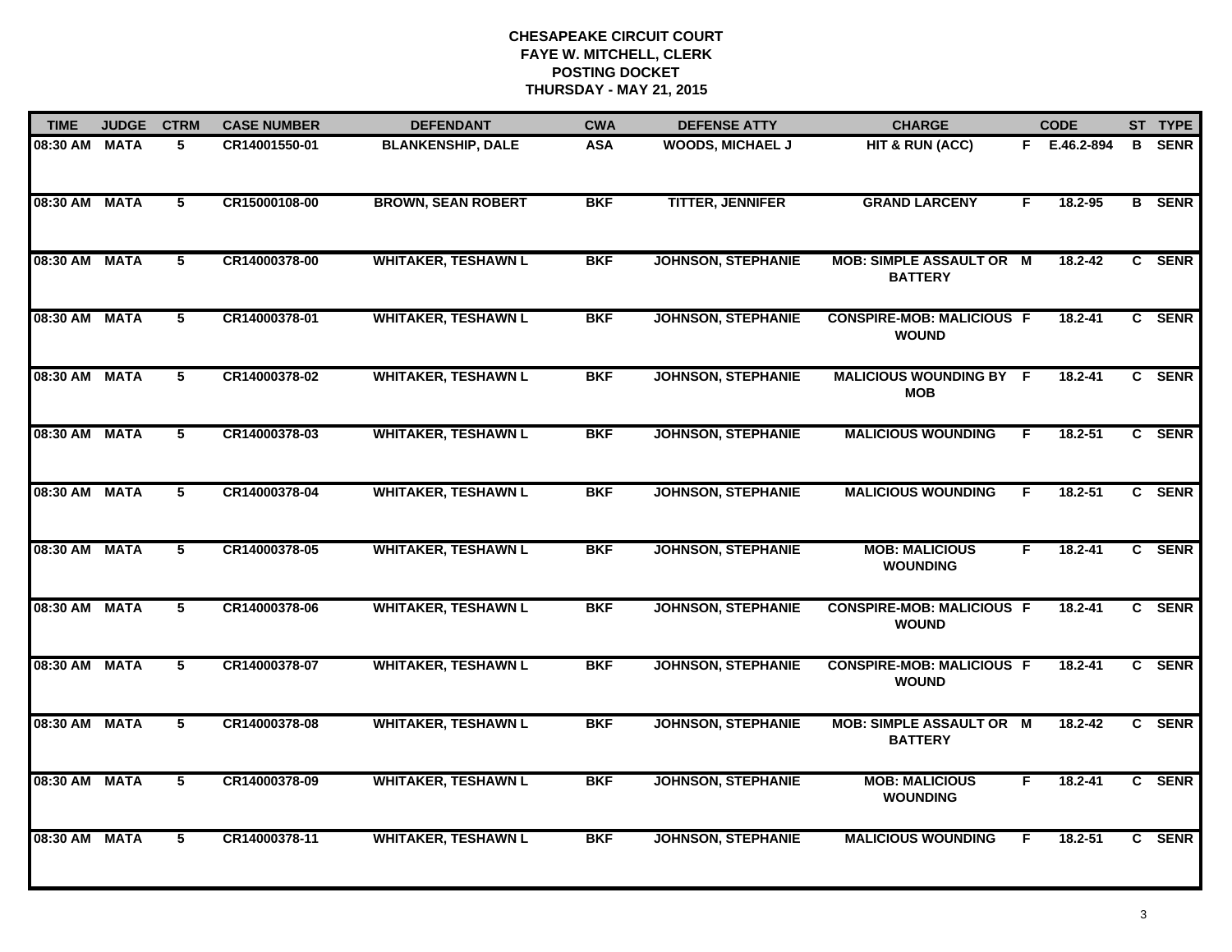| <b>TIME</b>   | <b>JUDGE</b> | <b>CTRM</b>    | <b>CASE NUMBER</b> | <b>DEFENDANT</b>           | <b>CWA</b> | <b>DEFENSE ATTY</b>       | <b>CHARGE</b>                                     |    | <b>CODE</b>  | ST TYPE       |
|---------------|--------------|----------------|--------------------|----------------------------|------------|---------------------------|---------------------------------------------------|----|--------------|---------------|
| 08:30 AM MATA |              | 5              | CR14001550-01      | <b>BLANKENSHIP, DALE</b>   | <b>ASA</b> | <b>WOODS, MICHAEL J</b>   | HIT & RUN (ACC)                                   |    | F E.46.2-894 | <b>B</b> SENR |
| 08:30 AM MATA |              | 5              | CR15000108-00      | <b>BROWN, SEAN ROBERT</b>  | <b>BKF</b> | <b>TITTER, JENNIFER</b>   | <b>GRAND LARCENY</b>                              | F  | 18.2-95      | <b>B</b> SENR |
| 08:30 AM MATA |              | 5              | CR14000378-00      | <b>WHITAKER, TESHAWN L</b> | <b>BKF</b> | <b>JOHNSON, STEPHANIE</b> | <b>MOB: SIMPLE ASSAULT OR M</b><br><b>BATTERY</b> |    | 18.2-42      | C SENR        |
| 08:30 AM      | MATA         | 5              | CR14000378-01      | <b>WHITAKER, TESHAWN L</b> | <b>BKF</b> | <b>JOHNSON, STEPHANIE</b> | <b>CONSPIRE-MOB: MALICIOUS F</b><br><b>WOUND</b>  |    | 18.2-41      | C SENR        |
| 08:30 AM MATA |              | 5              | CR14000378-02      | <b>WHITAKER, TESHAWN L</b> | <b>BKF</b> | <b>JOHNSON, STEPHANIE</b> | <b>MALICIOUS WOUNDING BY F</b><br><b>MOB</b>      |    | 18.2-41      | C SENR        |
| 08:30 AM MATA |              | 5              | CR14000378-03      | <b>WHITAKER, TESHAWN L</b> | <b>BKF</b> | <b>JOHNSON, STEPHANIE</b> | <b>MALICIOUS WOUNDING</b>                         | F. | $18.2 - 51$  | C SENR        |
| 08:30 AM MATA |              | $\overline{5}$ | CR14000378-04      | <b>WHITAKER, TESHAWN L</b> | <b>BKF</b> | <b>JOHNSON, STEPHANIE</b> | <b>MALICIOUS WOUNDING</b>                         | F. | $18.2 - 51$  | C SENR        |
| 08:30 AM MATA |              | $\overline{5}$ | CR14000378-05      | <b>WHITAKER, TESHAWN L</b> | <b>BKF</b> | <b>JOHNSON, STEPHANIE</b> | <b>MOB: MALICIOUS</b><br><b>WOUNDING</b>          | F. | $18.2 - 41$  | C SENR        |
| 08:30 AM MATA |              | 5              | CR14000378-06      | <b>WHITAKER, TESHAWN L</b> | <b>BKF</b> | <b>JOHNSON, STEPHANIE</b> | <b>CONSPIRE-MOB: MALICIOUS F</b><br><b>WOUND</b>  |    | 18.2-41      | C SENR        |
| 08:30 AM MATA |              | 5              | CR14000378-07      | <b>WHITAKER, TESHAWN L</b> | <b>BKF</b> | <b>JOHNSON, STEPHANIE</b> | <b>CONSPIRE-MOB: MALICIOUS F</b><br><b>WOUND</b>  |    | 18.2-41      | C SENR        |
| 08:30 AM MATA |              | 5              | CR14000378-08      | <b>WHITAKER, TESHAWN L</b> | <b>BKF</b> | <b>JOHNSON, STEPHANIE</b> | <b>MOB: SIMPLE ASSAULT OR M</b><br><b>BATTERY</b> |    | $18.2 - 42$  | C SENR        |
| 08:30 AM MATA |              | $\overline{5}$ | CR14000378-09      | <b>WHITAKER, TESHAWN L</b> | <b>BKF</b> | <b>JOHNSON, STEPHANIE</b> | <b>MOB: MALICIOUS</b><br><b>WOUNDING</b>          | F  | $18.2 - 41$  | C SENR        |
| 08:30 AM MATA |              | 5              | CR14000378-11      | <b>WHITAKER, TESHAWN L</b> | <b>BKF</b> | <b>JOHNSON, STEPHANIE</b> | <b>MALICIOUS WOUNDING</b>                         | F  | $18.2 - 51$  | C SENR        |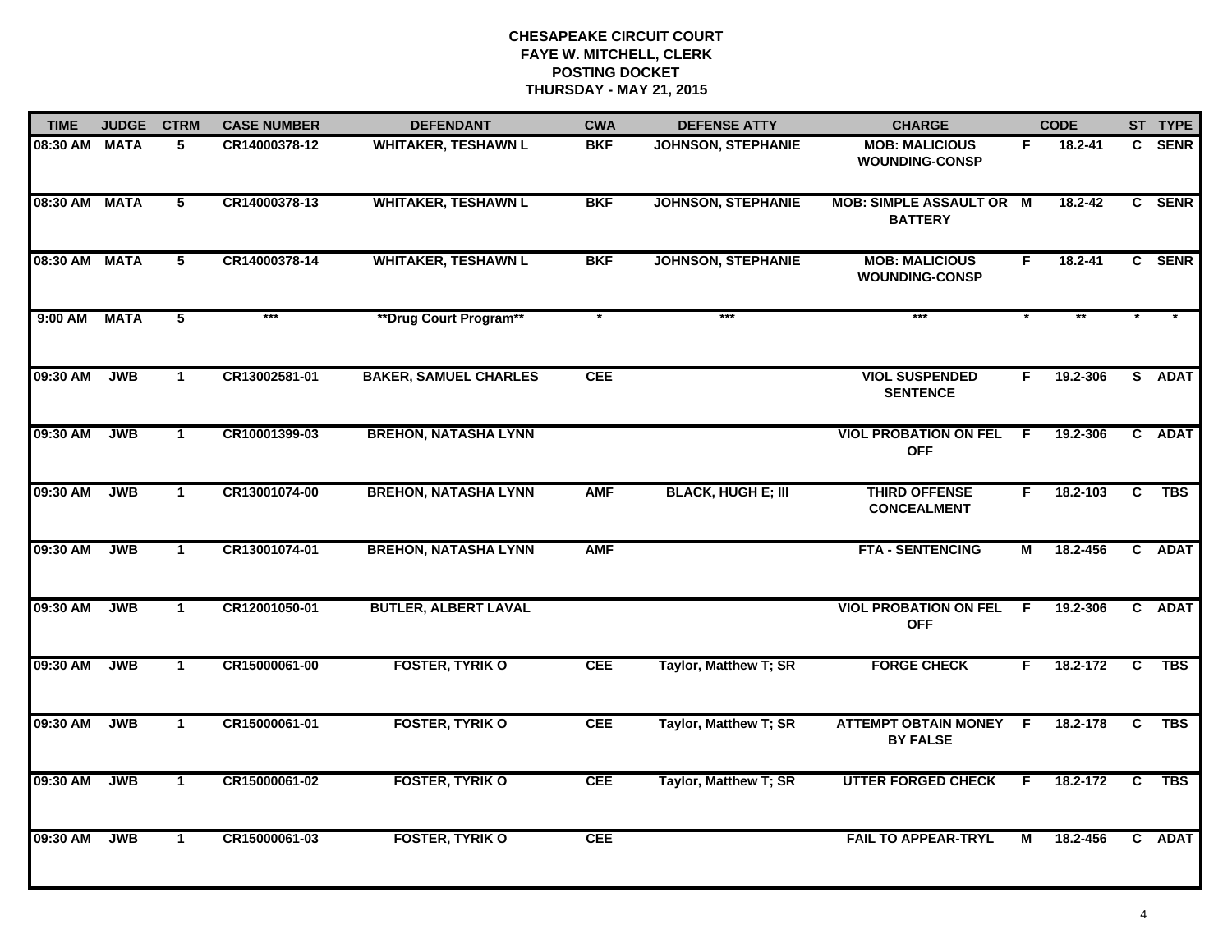| <b>TIME</b>   | <b>JUDGE</b> | <b>CTRM</b>    | <b>CASE NUMBER</b> | <b>DEFENDANT</b>             | <b>CWA</b> | <b>DEFENSE ATTY</b>          | <b>CHARGE</b>                                     |    | <b>CODE</b> |                         | ST TYPE     |
|---------------|--------------|----------------|--------------------|------------------------------|------------|------------------------------|---------------------------------------------------|----|-------------|-------------------------|-------------|
| 08:30 AM MATA |              | 5              | CR14000378-12      | <b>WHITAKER, TESHAWN L</b>   | <b>BKF</b> | <b>JOHNSON, STEPHANIE</b>    | <b>MOB: MALICIOUS</b><br><b>WOUNDING-CONSP</b>    | F. | 18.2-41     | C                       | <b>SENR</b> |
| 08:30 AM MATA |              | $\overline{5}$ | CR14000378-13      | <b>WHITAKER, TESHAWN L</b>   | <b>BKF</b> | <b>JOHNSON, STEPHANIE</b>    | <b>MOB: SIMPLE ASSAULT OR M</b><br><b>BATTERY</b> |    | $18.2 - 42$ |                         | C SENR      |
| 08:30 AM MATA |              | 5              | CR14000378-14      | <b>WHITAKER, TESHAWN L</b>   | <b>BKF</b> | <b>JOHNSON, STEPHANIE</b>    | <b>MOB: MALICIOUS</b><br><b>WOUNDING-CONSP</b>    | F. | 18.2-41     |                         | C SENR      |
| $9:00$ AM     | <b>MATA</b>  | 5              | $***$              | **Drug Court Program**       |            | $***$                        | $***$                                             |    |             |                         |             |
| 09:30 AM      | <b>JWB</b>   | $\mathbf 1$    | CR13002581-01      | <b>BAKER, SAMUEL CHARLES</b> | <b>CEE</b> |                              | <b>VIOL SUSPENDED</b><br><b>SENTENCE</b>          | F. | 19.2-306    |                         | S ADAT      |
| 09:30 AM      | <b>JWB</b>   | $\mathbf 1$    | CR10001399-03      | <b>BREHON, NATASHA LYNN</b>  |            |                              | <b>VIOL PROBATION ON FEL</b><br><b>OFF</b>        | F. | 19.2-306    |                         | C ADAT      |
| 09:30 AM      | <b>JWB</b>   | $\mathbf 1$    | CR13001074-00      | <b>BREHON, NATASHA LYNN</b>  | <b>AMF</b> | <b>BLACK, HUGH E; III</b>    | <b>THIRD OFFENSE</b><br><b>CONCEALMENT</b>        | F. | 18.2-103    | $\overline{\mathbf{c}}$ | <b>TBS</b>  |
| 09:30 AM      | JWB          | $\mathbf 1$    | CR13001074-01      | <b>BREHON, NATASHA LYNN</b>  | <b>AMF</b> |                              | <b>FTA - SENTENCING</b>                           | М  | 18.2-456    |                         | C ADAT      |
| 09:30 AM      | <b>JWB</b>   | $\mathbf 1$    | CR12001050-01      | <b>BUTLER, ALBERT LAVAL</b>  |            |                              | <b>VIOL PROBATION ON FEL</b><br><b>OFF</b>        | F. | 19.2-306    |                         | C ADAT      |
| 09:30 AM      | <b>JWB</b>   | $\mathbf 1$    | CR15000061-00      | <b>FOSTER, TYRIK O</b>       | <b>CEE</b> | <b>Taylor, Matthew T; SR</b> | <b>FORGE CHECK</b>                                | F. | 18.2-172    | C                       | <b>TBS</b>  |
| 09:30 AM      | <b>JWB</b>   | $\mathbf 1$    | CR15000061-01      | <b>FOSTER, TYRIK O</b>       | <b>CEE</b> | Taylor, Matthew T; SR        | ATTEMPT OBTAIN MONEY F<br><b>BY FALSE</b>         |    | 18.2-178    | C                       | <b>TBS</b>  |
| 09:30 AM      | <b>JWB</b>   | $\mathbf 1$    | CR15000061-02      | <b>FOSTER, TYRIK O</b>       | <b>CEE</b> | Taylor, Matthew T; SR        | <b>UTTER FORGED CHECK</b>                         | F. | 18.2-172    | C                       | <b>TBS</b>  |
| 09:30 AM      | <b>JWB</b>   | $\mathbf 1$    | CR15000061-03      | <b>FOSTER, TYRIK O</b>       | <b>CEE</b> |                              | <b>FAIL TO APPEAR-TRYL</b>                        | М  | 18.2-456    |                         | C ADAT      |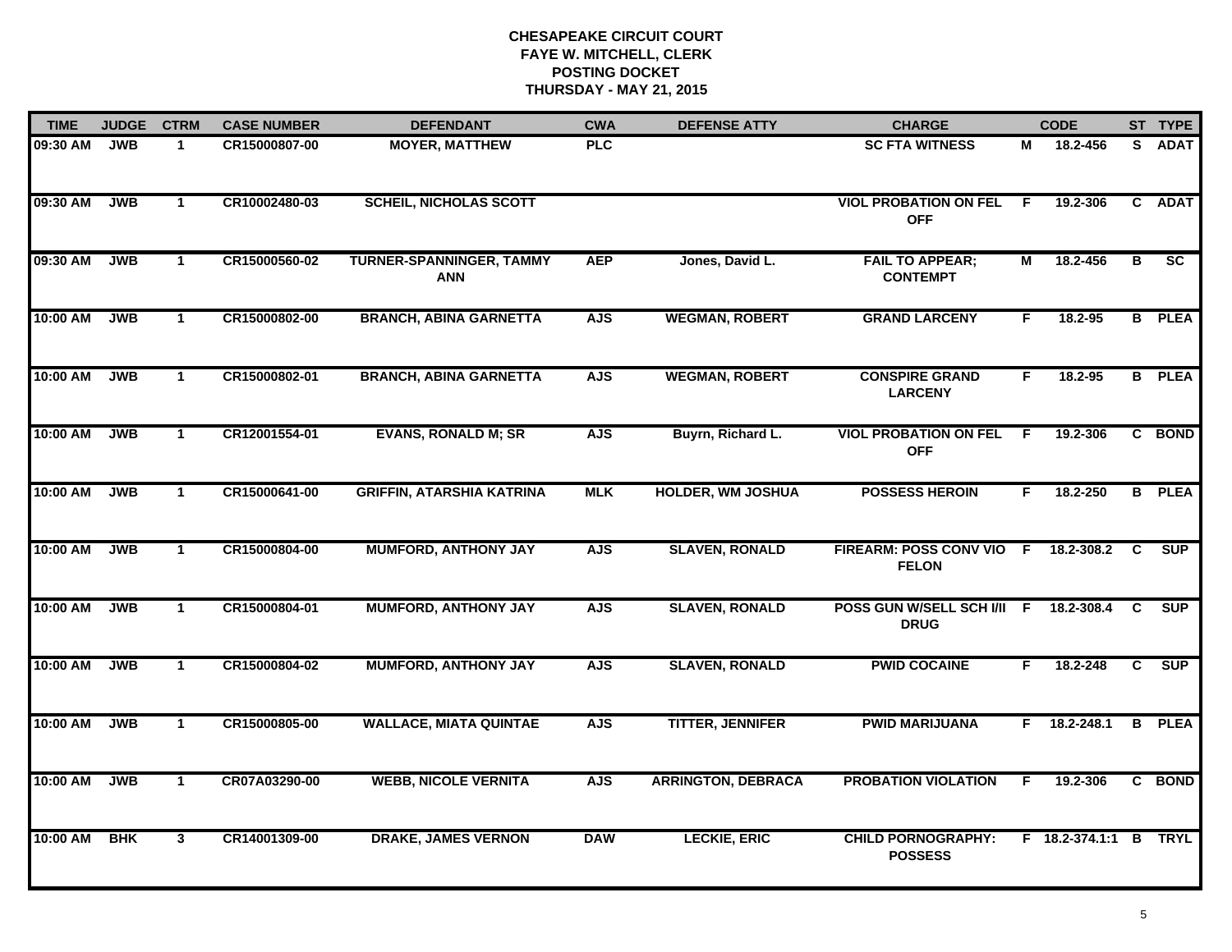| <b>TIME</b> | <b>JUDGE</b> | <b>CTRM</b>    | <b>CASE NUMBER</b> | <b>DEFENDANT</b>                              | <b>CWA</b> | <b>DEFENSE ATTY</b>       | <b>CHARGE</b>                               |     | <b>CODE</b>           |                | ST TYPE       |
|-------------|--------------|----------------|--------------------|-----------------------------------------------|------------|---------------------------|---------------------------------------------|-----|-----------------------|----------------|---------------|
| 09:30 AM    | <b>JWB</b>   | $\mathbf 1$    | CR15000807-00      | <b>MOYER, MATTHEW</b>                         | <b>PLC</b> |                           | <b>SC FTA WITNESS</b>                       | М   | 18.2-456              | S.             | <b>ADAT</b>   |
| 09:30 AM    | <b>JWB</b>   | $\mathbf{1}$   | CR10002480-03      | <b>SCHEIL, NICHOLAS SCOTT</b>                 |            |                           | <b>VIOL PROBATION ON FEL</b><br><b>OFF</b>  | E   | 19.2-306              | $\mathbf{c}$   | <b>ADAT</b>   |
| 09:30 AM    | <b>JWB</b>   | $\mathbf{1}$   | CR15000560-02      | <b>TURNER-SPANNINGER, TAMMY</b><br><b>ANN</b> | <b>AEP</b> | Jones, David L.           | <b>FAIL TO APPEAR;</b><br><b>CONTEMPT</b>   | М   | 18.2-456              | В              | SC            |
| 10:00 AM    | <b>JWB</b>   | $\mathbf 1$    | CR15000802-00      | <b>BRANCH, ABINA GARNETTA</b>                 | <b>AJS</b> | <b>WEGMAN, ROBERT</b>     | <b>GRAND LARCENY</b>                        | F.  | $18.2 - 95$           |                | <b>B</b> PLEA |
| 10:00 AM    | <b>JWB</b>   | $\mathbf{1}$   | CR15000802-01      | <b>BRANCH, ABINA GARNETTA</b>                 | <b>AJS</b> | <b>WEGMAN, ROBERT</b>     | <b>CONSPIRE GRAND</b><br><b>LARCENY</b>     | F.  | $18.2 - 95$           |                | <b>B</b> PLEA |
| 10:00 AM    | <b>JWB</b>   | $\mathbf{1}$   | CR12001554-01      | <b>EVANS, RONALD M; SR</b>                    | <b>AJS</b> | Buyrn, Richard L.         | <b>VIOL PROBATION ON FEL</b><br><b>OFF</b>  | - F | 19.2-306              |                | C BOND        |
| 10:00 AM    | <b>JWB</b>   | $\overline{1}$ | CR15000641-00      | <b>GRIFFIN, ATARSHIA KATRINA</b>              | <b>MLK</b> | <b>HOLDER, WM JOSHUA</b>  | <b>POSSESS HEROIN</b>                       | F.  | 18.2-250              |                | <b>B</b> PLEA |
| 10:00 AM    | <b>JWB</b>   | $\mathbf{1}$   | CR15000804-00      | <b>MUMFORD, ANTHONY JAY</b>                   | <b>AJS</b> | <b>SLAVEN, RONALD</b>     | FIREARM: POSS CONV VIO F<br><b>FELON</b>    |     | 18.2-308.2            | C              | SUP           |
| 10:00 AM    | <b>JWB</b>   | $\mathbf{1}$   | CR15000804-01      | <b>MUMFORD, ANTHONY JAY</b>                   | <b>AJS</b> | <b>SLAVEN, RONALD</b>     | POSS GUN W/SELL SCH I/II F<br><b>DRUG</b>   |     | 18.2-308.4            | <b>C</b>       | <b>SUP</b>    |
| 10:00 AM    | <b>JWB</b>   | $\mathbf{1}$   | CR15000804-02      | <b>MUMFORD, ANTHONY JAY</b>                   | <b>AJS</b> | <b>SLAVEN, RONALD</b>     | <b>PWID COCAINE</b>                         | F.  | 18.2-248              | $\overline{c}$ | SUP           |
| 10:00 AM    | <b>JWB</b>   | $\mathbf{1}$   | CR15000805-00      | <b>WALLACE, MIATA QUINTAE</b>                 | <b>AJS</b> | <b>TITTER, JENNIFER</b>   | <b>PWID MARIJUANA</b>                       |     | $F$ 18.2-248.1        |                | <b>B</b> PLEA |
| 10:00 AM    | <b>JWB</b>   | $\mathbf{1}$   | CR07A03290-00      | <b>WEBB, NICOLE VERNITA</b>                   | <b>AJS</b> | <b>ARRINGTON, DEBRACA</b> | <b>PROBATION VIOLATION</b>                  | F.  | 19.2-306              |                | C BOND        |
| 10:00 AM    | <b>BHK</b>   | $\mathbf{3}$   | CR14001309-00      | <b>DRAKE, JAMES VERNON</b>                    | <b>DAW</b> | <b>LECKIE, ERIC</b>       | <b>CHILD PORNOGRAPHY:</b><br><b>POSSESS</b> |     | F 18.2-374.1:1 B TRYL |                |               |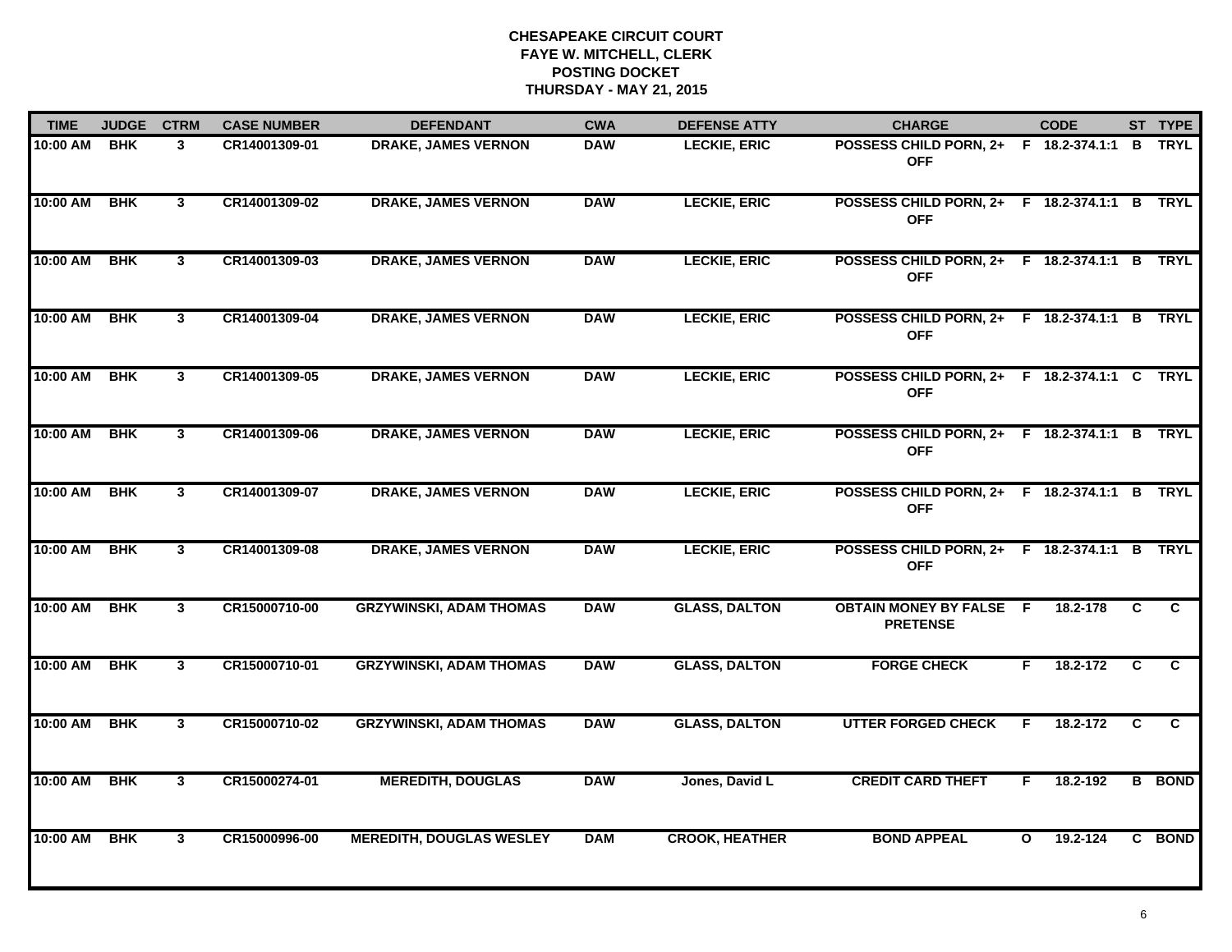| <b>TIME</b> | <b>JUDGE</b> | <b>CTRM</b>             | <b>CASE NUMBER</b> | <b>DEFENDANT</b>                | <b>CWA</b> | <b>DEFENSE ATTY</b>   | <b>CHARGE</b>                                              |              | <b>CODE</b> |    | ST TYPE       |
|-------------|--------------|-------------------------|--------------------|---------------------------------|------------|-----------------------|------------------------------------------------------------|--------------|-------------|----|---------------|
| 10:00 AM    | <b>BHK</b>   | 3                       | CR14001309-01      | <b>DRAKE, JAMES VERNON</b>      | <b>DAW</b> | <b>LECKIE, ERIC</b>   | POSSESS CHILD PORN, 2+ F 18.2-374.1:1 B<br><b>OFF</b>      |              |             |    | <b>TRYL</b>   |
| 10:00 AM    | <b>BHK</b>   | $\mathbf{3}$            | CR14001309-02      | <b>DRAKE, JAMES VERNON</b>      | <b>DAW</b> | <b>LECKIE, ERIC</b>   | POSSESS CHILD PORN, 2+ F 18.2-374.1:1 B TRYL<br><b>OFF</b> |              |             |    |               |
| 10:00 AM    | <b>BHK</b>   | $\mathbf{3}$            | CR14001309-03      | <b>DRAKE, JAMES VERNON</b>      | <b>DAW</b> | <b>LECKIE, ERIC</b>   | POSSESS CHILD PORN, 2+ F 18.2-374.1:1 B TRYL<br><b>OFF</b> |              |             |    |               |
| 10:00 AM    | <b>BHK</b>   | 3                       | CR14001309-04      | <b>DRAKE, JAMES VERNON</b>      | <b>DAW</b> | <b>LECKIE, ERIC</b>   | POSSESS CHILD PORN, 2+ F 18.2-374.1:1 B TRYL<br><b>OFF</b> |              |             |    |               |
| 10:00 AM    | <b>BHK</b>   | $\mathbf{3}$            | CR14001309-05      | <b>DRAKE, JAMES VERNON</b>      | <b>DAW</b> | <b>LECKIE, ERIC</b>   | POSSESS CHILD PORN, 2+ F 18.2-374.1:1 C TRYL<br><b>OFF</b> |              |             |    |               |
| 10:00 AM    | <b>BHK</b>   | $\mathbf{3}$            | CR14001309-06      | <b>DRAKE, JAMES VERNON</b>      | <b>DAW</b> | <b>LECKIE, ERIC</b>   | POSSESS CHILD PORN, 2+ F 18.2-374.1:1 B TRYL<br><b>OFF</b> |              |             |    |               |
| 10:00 AM    | <b>BHK</b>   | $\mathbf{3}$            | CR14001309-07      | <b>DRAKE, JAMES VERNON</b>      | <b>DAW</b> | <b>LECKIE, ERIC</b>   | POSSESS CHILD PORN, 2+ F 18.2-374.1:1 B TRYL<br><b>OFF</b> |              |             |    |               |
| 10:00 AM    | <b>BHK</b>   | 3                       | CR14001309-08      | <b>DRAKE, JAMES VERNON</b>      | <b>DAW</b> | <b>LECKIE, ERIC</b>   | POSSESS CHILD PORN, 2+ F 18.2-374.1:1 B TRYL<br><b>OFF</b> |              |             |    |               |
| 10:00 AM    | <b>BHK</b>   | 3                       | CR15000710-00      | <b>GRZYWINSKI, ADAM THOMAS</b>  | <b>DAW</b> | <b>GLASS, DALTON</b>  | <b>OBTAIN MONEY BY FALSE F</b><br><b>PRETENSE</b>          |              | 18.2-178    | C  | C.            |
| 10:00 AM    | <b>BHK</b>   | $\overline{3}$          | CR15000710-01      | <b>GRZYWINSKI, ADAM THOMAS</b>  | <b>DAW</b> | <b>GLASS, DALTON</b>  | <b>FORGE CHECK</b>                                         | F.           | 18.2-172    | C  | $\mathbf{c}$  |
| 10:00 AM    | <b>BHK</b>   | $\overline{\mathbf{3}}$ | CR15000710-02      | <b>GRZYWINSKI, ADAM THOMAS</b>  | <b>DAW</b> | <b>GLASS, DALTON</b>  | <b>UTTER FORGED CHECK</b>                                  | F.           | 18.2-172    | C. | C             |
| 10:00 AM    | <b>BHK</b>   | $\overline{\mathbf{3}}$ | CR15000274-01      | <b>MEREDITH, DOUGLAS</b>        | <b>DAW</b> | Jones, David L        | <b>CREDIT CARD THEFT</b>                                   | F.           | 18.2-192    |    | <b>B</b> BOND |
| 10:00 AM    | <b>BHK</b>   | $\mathbf{3}$            | CR15000996-00      | <b>MEREDITH, DOUGLAS WESLEY</b> | <b>DAM</b> | <b>CROOK, HEATHER</b> | <b>BOND APPEAL</b>                                         | $\mathbf{o}$ | 19.2-124    |    | C BOND        |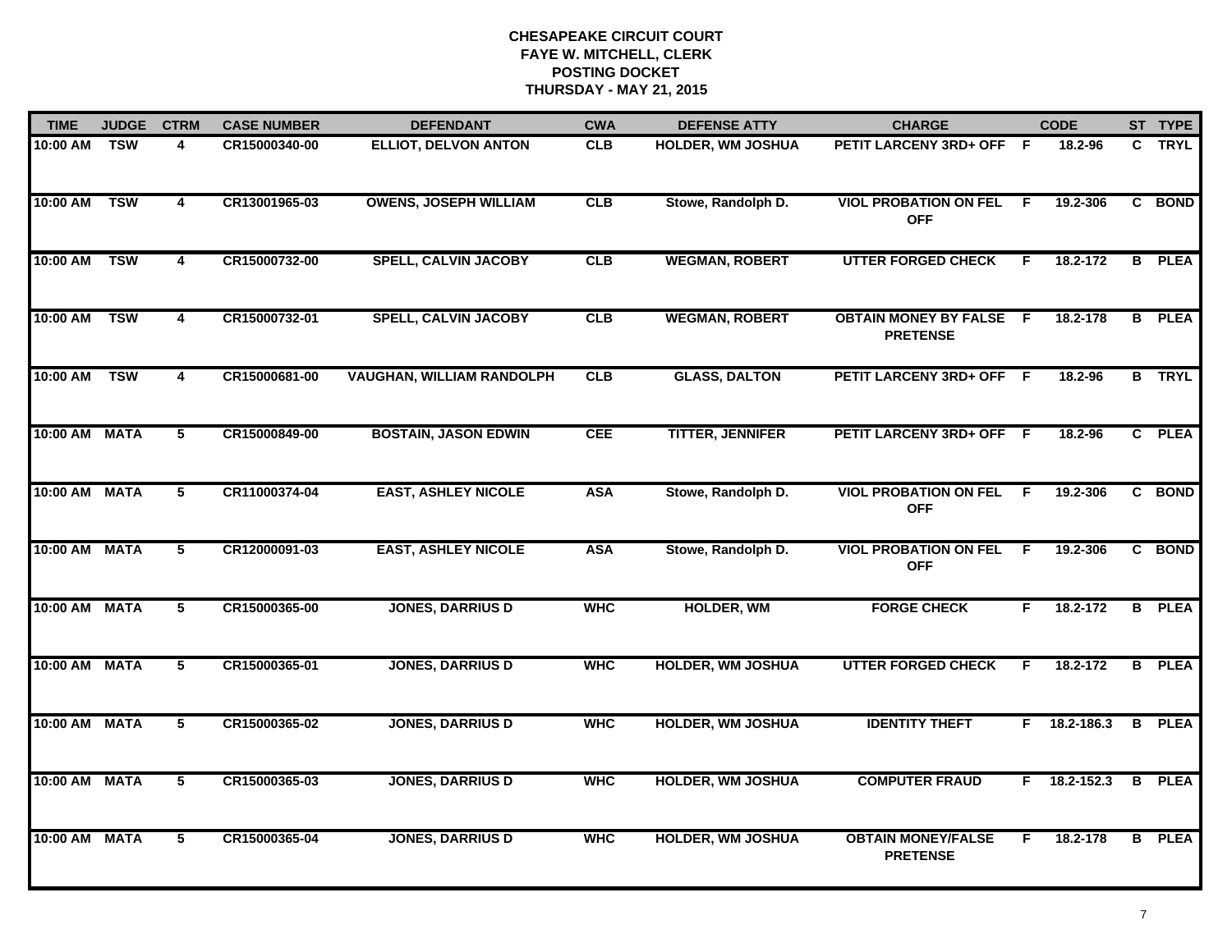| <b>TIME</b>   | <b>JUDGE</b> | <b>CTRM</b>     | <b>CASE NUMBER</b> | <b>DEFENDANT</b>                 | <b>CWA</b> | <b>DEFENSE ATTY</b>      | <b>CHARGE</b>                                     |                | <b>CODE</b> |   | ST TYPE       |
|---------------|--------------|-----------------|--------------------|----------------------------------|------------|--------------------------|---------------------------------------------------|----------------|-------------|---|---------------|
| 10:00 AM      | <b>TSW</b>   | 4               | CR15000340-00      | <b>ELLIOT, DELVON ANTON</b>      | <b>CLB</b> | <b>HOLDER, WM JOSHUA</b> | PETIT LARCENY 3RD+ OFF F                          |                | 18.2-96     |   | C TRYL        |
| 10:00 AM      | <b>TSW</b>   | 4               | CR13001965-03      | <b>OWENS, JOSEPH WILLIAM</b>     | <b>CLB</b> | Stowe, Randolph D.       | <b>VIOL PROBATION ON FEL</b><br><b>OFF</b>        | -F             | 19.2-306    |   | C BOND        |
| 10:00 AM      | <b>TSW</b>   | 4               | CR15000732-00      | <b>SPELL, CALVIN JACOBY</b>      | <b>CLB</b> | <b>WEGMAN, ROBERT</b>    | <b>UTTER FORGED CHECK</b>                         | F              | 18.2-172    |   | <b>B</b> PLEA |
| 10:00 AM      | <b>TSW</b>   | 4               | CR15000732-01      | <b>SPELL, CALVIN JACOBY</b>      | CLB        | <b>WEGMAN, ROBERT</b>    | <b>OBTAIN MONEY BY FALSE F</b><br><b>PRETENSE</b> |                | 18.2-178    |   | <b>B</b> PLEA |
| 10:00 AM      | <b>TSW</b>   | 4               | CR15000681-00      | <b>VAUGHAN, WILLIAM RANDOLPH</b> | CLB        | <b>GLASS, DALTON</b>     | PETIT LARCENY 3RD+ OFF F                          |                | 18.2-96     |   | <b>B</b> TRYL |
| 10:00 AM MATA |              | 5               | CR15000849-00      | <b>BOSTAIN, JASON EDWIN</b>      | <b>CEE</b> | <b>TITTER, JENNIFER</b>  | PETIT LARCENY 3RD+ OFF F                          |                | 18.2-96     |   | C PLEA        |
| 10:00 AM MATA |              | $\overline{5}$  | CR11000374-04      | <b>EAST, ASHLEY NICOLE</b>       | <b>ASA</b> | Stowe, Randolph D.       | <b>VIOL PROBATION ON FEL</b><br><b>OFF</b>        | $\overline{F}$ | 19.2-306    |   | C BOND        |
| 10:00 AM MATA |              | 5               | CR12000091-03      | <b>EAST, ASHLEY NICOLE</b>       | <b>ASA</b> | Stowe, Randolph D.       | <b>VIOL PROBATION ON FEL</b><br><b>OFF</b>        | F.             | 19.2-306    |   | C BOND        |
| 10:00 AM MATA |              | 5               | CR15000365-00      | <b>JONES, DARRIUS D</b>          | <b>WHC</b> | <b>HOLDER, WM</b>        | <b>FORGE CHECK</b>                                | F.             | 18.2-172    |   | <b>B</b> PLEA |
| 10:00 AM MATA |              | 5               | CR15000365-01      | <b>JONES, DARRIUS D</b>          | <b>WHC</b> | <b>HOLDER, WM JOSHUA</b> | <b>UTTER FORGED CHECK</b>                         | F              | 18.2-172    |   | <b>B</b> PLEA |
| 10:00 AM MATA |              | $5\overline{ }$ | CR15000365-02      | <b>JONES, DARRIUS D</b>          | <b>WHC</b> | <b>HOLDER, WM JOSHUA</b> | <b>IDENTITY THEFT</b>                             | F.             | 18.2-186.3  | B | <b>PLEA</b>   |
| 10:00 AM MATA |              | 5               | CR15000365-03      | <b>JONES, DARRIUS D</b>          | <b>WHC</b> | <b>HOLDER, WM JOSHUA</b> | <b>COMPUTER FRAUD</b>                             | F.             | 18.2-152.3  |   | <b>B</b> PLEA |
| 10:00 AM MATA |              | 5               | CR15000365-04      | <b>JONES, DARRIUS D</b>          | <b>WHC</b> | <b>HOLDER, WM JOSHUA</b> | <b>OBTAIN MONEY/FALSE</b><br><b>PRETENSE</b>      | F              | 18.2-178    |   | <b>B</b> PLEA |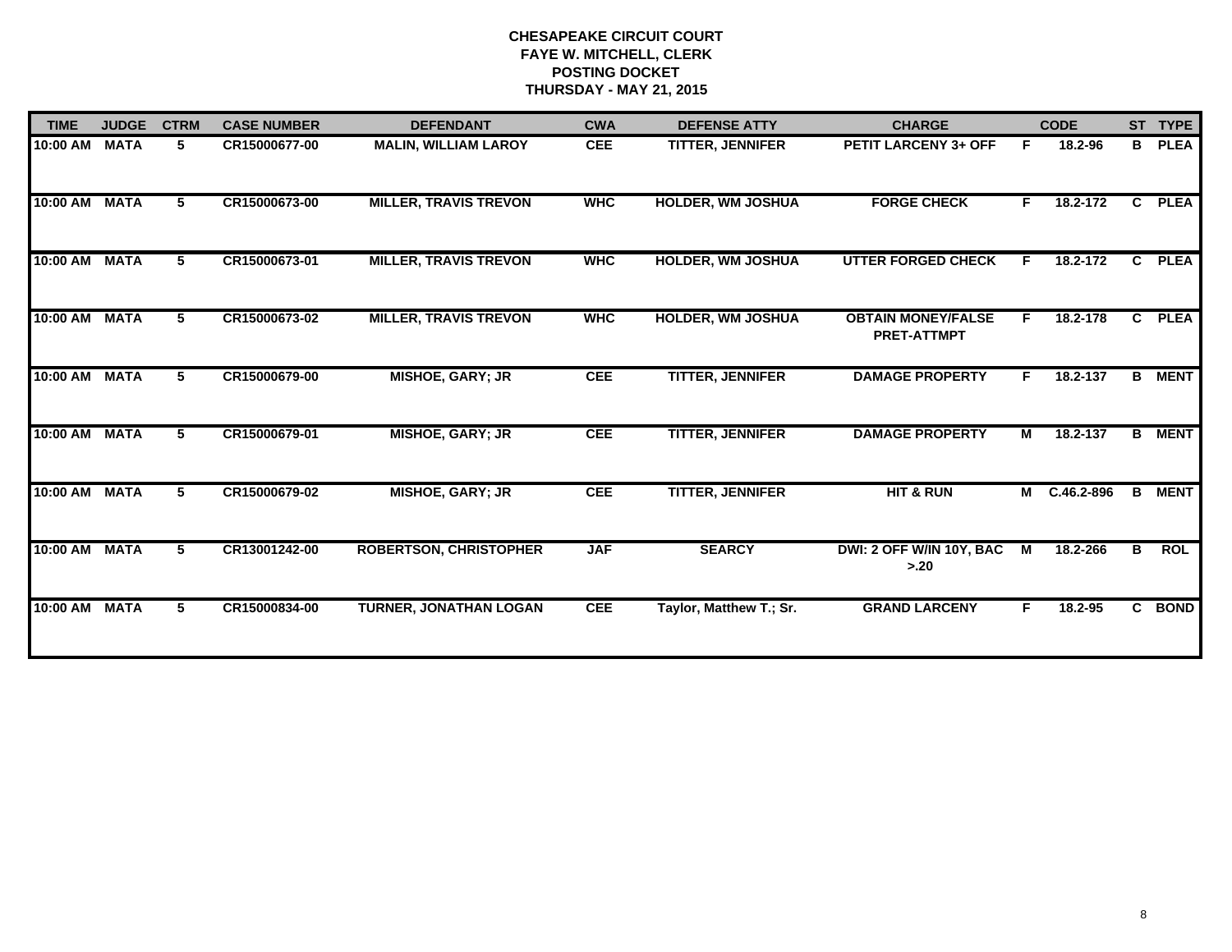| <b>TIME</b> | <b>JUDGE</b> | <b>CTRM</b> | <b>CASE NUMBER</b> | <b>DEFENDANT</b>              | <b>CWA</b> | <b>DEFENSE ATTY</b>      | <b>CHARGE</b>                                   |                | <b>CODE</b>    | ST TYPE        |             |
|-------------|--------------|-------------|--------------------|-------------------------------|------------|--------------------------|-------------------------------------------------|----------------|----------------|----------------|-------------|
| 10:00 AM    | <b>MATA</b>  | 5           | CR15000677-00      | <b>MALIN, WILLIAM LAROY</b>   | <b>CEE</b> | <b>TITTER, JENNIFER</b>  | PETIT LARCENY 3+ OFF                            | F              | 18.2-96        | B              | <b>PLEA</b> |
| 10:00 AM    | <b>MATA</b>  | 5           | CR15000673-00      | <b>MILLER, TRAVIS TREVON</b>  | <b>WHC</b> | <b>HOLDER, WM JOSHUA</b> | <b>FORGE CHECK</b>                              | F              | 18.2-172       | $\overline{c}$ | <b>PLEA</b> |
| 10:00 AM    | <b>MATA</b>  | 5.          | CR15000673-01      | <b>MILLER, TRAVIS TREVON</b>  | <b>WHC</b> | <b>HOLDER, WM JOSHUA</b> | <b>UTTER FORGED CHECK</b>                       | F.             | 18.2-172       | $\mathbf{c}$   | <b>PLEA</b> |
| 10:00 AM    | <b>MATA</b>  | 5           | CR15000673-02      | <b>MILLER, TRAVIS TREVON</b>  | <b>WHC</b> | HOLDER, WM JOSHUA        | <b>OBTAIN MONEY/FALSE</b><br><b>PRET-ATTMPT</b> | F.             | 18.2-178       | $\mathbf{c}$   | <b>PLEA</b> |
| 10:00 AM    | <b>MATA</b>  | 5           | CR15000679-00      | <b>MISHOE, GARY; JR</b>       | <b>CEE</b> | <b>TITTER, JENNIFER</b>  | <b>DAMAGE PROPERTY</b>                          | F.             | 18.2-137       | B              | <b>MENT</b> |
| 10:00 AM    | <b>MATA</b>  | 5           | CR15000679-01      | <b>MISHOE, GARY; JR</b>       | <b>CEE</b> | <b>TITTER, JENNIFER</b>  | <b>DAMAGE PROPERTY</b>                          | M              | 18.2-137       | в              | <b>MENT</b> |
| 10:00 AM    | <b>MATA</b>  | 5           | CR15000679-02      | <b>MISHOE, GARY; JR</b>       | <b>CEE</b> | <b>TITTER, JENNIFER</b>  | <b>HIT &amp; RUN</b>                            | М              | $C.46.2 - 896$ | B              | <b>MENT</b> |
| 10:00 AM    | <b>MATA</b>  | 5           | CR13001242-00      | <b>ROBERTSON, CHRISTOPHER</b> | <b>JAF</b> | <b>SEARCY</b>            | DWI: 2 OFF W/IN 10Y, BAC<br>> 20                | $\blacksquare$ | 18.2-266       | B              | <b>ROL</b>  |
| $10:00$ AM  | <b>MATA</b>  | 5           | CR15000834-00      | TURNER, JONATHAN LOGAN        | <b>CEE</b> | Taylor, Matthew T.; Sr.  | <b>GRAND LARCENY</b>                            | F              | 18.2-95        |                | C BOND      |